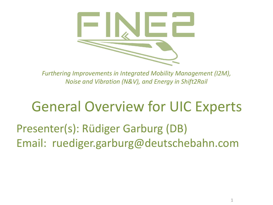

*Furthering Improvements in Integrated Mobility Management (I2M), Noise and Vibration (N&V), and Energy in Shift2Rail* 

#### General Overview for UIC Experts

Presenter(s): Rüdiger Garburg (DB) Email: ruediger.garburg@deutschebahn.com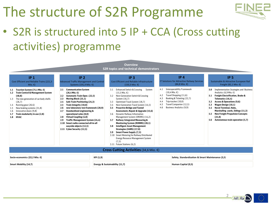## The structure of S2R Programme



• S2R is structured into 5 IP + CCA (Cross cutting activities) programme

| <b>Overview</b><br>S2R topics and technical demonstrators                                                                                                                                                                               |                                                                                                                                                                                                                                                                                                                                                                                                                                                            |                                |                                                                                                                                                                                                                                                                                                                                                                                                                                                                                                                                                                                                                                        |                                 |                                                                                                                                                               |                                                                                                                                                                                                                                                                                                                              |  |
|-----------------------------------------------------------------------------------------------------------------------------------------------------------------------------------------------------------------------------------------|------------------------------------------------------------------------------------------------------------------------------------------------------------------------------------------------------------------------------------------------------------------------------------------------------------------------------------------------------------------------------------------------------------------------------------------------------------|--------------------------------|----------------------------------------------------------------------------------------------------------------------------------------------------------------------------------------------------------------------------------------------------------------------------------------------------------------------------------------------------------------------------------------------------------------------------------------------------------------------------------------------------------------------------------------------------------------------------------------------------------------------------------------|---------------------------------|---------------------------------------------------------------------------------------------------------------------------------------------------------------|------------------------------------------------------------------------------------------------------------------------------------------------------------------------------------------------------------------------------------------------------------------------------------------------------------------------------|--|
| IP <sub>1</sub><br>Cost Efficient and Reliable Trains (221,5<br>Mio. $\epsilon$ )<br>Traction System (75,1 Mio. €)<br>1.1<br><b>Train Control &amp; Management System</b><br>1.2                                                        | IP <sub>2</sub><br><b>Advanced Traffic Management and Control</b><br>Systems (191,4 Mio. €)<br><b>Communication System</b><br>2.1<br>$(26.4$ Mio. $\epsilon$ )                                                                                                                                                                                                                                                                                             |                                | IP <sub>3</sub><br><b>Cost Efficient and Reliable Infrastructure</b><br>$(150,3$ Mio. $\epsilon$ )<br><b>Enhanced Switch &amp; Crossing</b><br>System<br>3.1<br>$(15,5$ Mio. $\epsilon$ )                                                                                                                                                                                                                                                                                                                                                                                                                                              | 4.1                             | IP <sub>4</sub><br>IT Solutions for Attractive Railway Services<br>$(84,8$ Mio. $\epsilon$ )<br><b>Interoperability Framework</b><br>$(10,4$ Mio. $\epsilon)$ | IP <sub>5</sub><br>Sustainable & Attractive European Rail<br>Freight (82,1 Mio. $\epsilon$ )<br><b>Implementation Strategies and Business</b><br>5.0<br>Analytics (6,9 Mio. €)                                                                                                                                               |  |
| (48, 8)<br>The new generation of car body shells<br>1.3<br>(26,7)<br>Running gear (26.6)<br>1.4<br>New braking systems (31,8)<br>$1.5\,$<br>Innovative doors (9.8)<br>1.6<br>Train modularity in use (2,8)<br>1.7<br><b>HVAC</b><br>1.8 | $2.2^{\circ}$<br>Automatic Train Oper. (22,5)<br>Moving Block (25,1)<br>2.3<br>Safe Train Positioning (24,3)<br>$2.4^{\circ}$<br>Train Integrity (10.0)<br>2.5<br>new laboratory test framework (20,9)<br>2.6<br>Standardized engineering &<br>2.7<br>operational rules (8,0)<br>Virtual Coupling (4,8)<br>2.8<br>Traffic Management System (24,4)<br>2.9<br>2.10 Smart radio-connected all-in-all<br>wayside objects (12,5)<br>2.11 Cyber Security (12,5) |                                | Next Generation Switch & Crossing<br>3.2<br>System (16,7)<br>Optimised Track System (18,7)<br>3.3<br>Next-Generation Track System (14,5)<br><b>Proactive Bridge and Tunnel</b><br>3.5<br>Assessment, Repair & Upgrade (15,6)<br>3.6 Dynamic Railway Information<br>Management System (DRIMS) (14,2)<br>Railway Integrated Measuring &<br>3.7<br>Monitoring System (RIMMS) (20,1)<br><b>Intelligent Asset Management</b><br>3.8<br>Strategies (IAMS) (17,0)<br><b>Smart Power Supply (7,5)</b><br>3.9<br>3.10 Smart Metering for Railway Distributed<br><b>Energy Resource Management System</b><br>(7,5)<br>3.11 Future Stations (6,2) | 4.2<br>4.3<br>4.4<br>4.5<br>4.6 | Travel Shopping (11,6)<br>Booking & Ticketing (22,7)<br>Trip-tracker (10,0)<br>Travel Companion (12,5)<br>Business Analytics (9,9)                            | <b>Freight Electrification, Brake &amp;</b><br>5.1<br>Telematics (16.4)<br>Access & Operations (9,6)<br>5.2<br>Wagon Design (10,1)<br>5.3<br><b>Novel Terminal, Hubs.</b><br>5.4<br>Marshalling yards, Sidings (11,3)<br><b>New Freight Propulsion Concepts</b><br>5.5<br>(21, 8)<br>Autonomous train operation (5,7)<br>5.6 |  |
| <b>Cross Cutting Activities</b> (34,6 Mio. $\epsilon$ )                                                                                                                                                                                 |                                                                                                                                                                                                                                                                                                                                                                                                                                                            |                                |                                                                                                                                                                                                                                                                                                                                                                                                                                                                                                                                                                                                                                        |                                 |                                                                                                                                                               |                                                                                                                                                                                                                                                                                                                              |  |
| Socio-economics (22,2 Mio. €)                                                                                                                                                                                                           |                                                                                                                                                                                                                                                                                                                                                                                                                                                            | KPI (1,9)                      |                                                                                                                                                                                                                                                                                                                                                                                                                                                                                                                                                                                                                                        |                                 |                                                                                                                                                               | Safety, Standardization & Smart Maintenance (3,5)                                                                                                                                                                                                                                                                            |  |
| Smart Mobility (14,7)                                                                                                                                                                                                                   |                                                                                                                                                                                                                                                                                                                                                                                                                                                            | Energy & Sustainability (11,7) |                                                                                                                                                                                                                                                                                                                                                                                                                                                                                                                                                                                                                                        |                                 | Human Capital (0,5)                                                                                                                                           |                                                                                                                                                                                                                                                                                                                              |  |

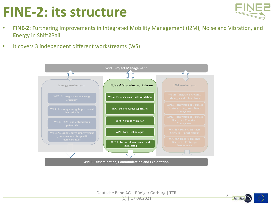## **FINE-2: its structure**



- **FINE-2: F**urthering Improvements in **I**ntegrated Mobility Management (I2M), **N**oise and Vibration, and **E**nergy in Shift**2**Rail
- It covers 3 independent different workstreams (WS)



Deutsche Bahn AG | Rüdiger Garburg | TTR  $(1)$  | 17.09.2021

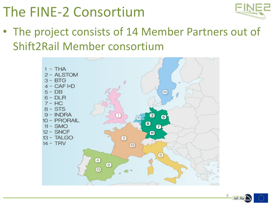## The FINE-2 Consortium



• The project consists of 14 Member Partners out of Shift2Rail Member consortium



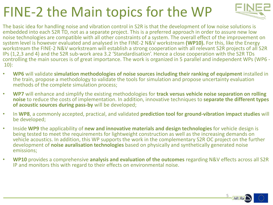## FINE-2 the Main topics for the WP



The basic idea for handling noise and vibration control in S2R is that the development of low noise solutions is embedded into each S2R TD, not as a separate project. This is a preferred approach in order to assure new low noise technologies are compatible with all other constraints of a system. The overall effect of the improvement on system level is however evaluated and analysed in the FINE-2 N&V workstream **(WP10).** For this, like the Energy workstream the FINE-2 N&V workstream will establish a strong cooperation with all relevant S2R projects of all S2R IPs (1,2,3 and 4) and the S2R sub-work area 3.2 'Standardisation'. Hence a close cooperation with the S2R TDs controlling the main sources is of great importance. The work is organized in 5 parallel and independent WPs (WP6 - 10):

- **WP6** will validate **simulation methodologies of noise sources including their ranking of equipment** installed in the train, propose a methodology to validate the tools for simulation and propose uncertainty evaluation methods of the complete simulation process;
- **WP7** will enhance and simplify the existing methodologies for **track versus vehicle noise separation on rolling noise** to reduce the costs of implementation. In addition, innovative techniques to **separate the different types of acoustic sources during pass-by** will be developed;
- In **WP8**, a commonly accepted, practical, and validated **prediction tool for ground-vibration impact studies** will be developed;
- Inside **WP9** the applicability of **new and innovative materials and design technologies** for vehicle design is being tested to meet the requirements for lightweight construction as well as the increasing demands on vehicle acoustics. In addition, this WP supports the work in the complementary S2R OC project on the further development of **noise auralisation technologies** based on physically and synthetically generated noise emissions;
- **WP10** provides a comprehensive **analysis and evaluation of the outcomes** regarding N&V effects across all S2R IP and monitors this with regard to their effects on environmental noise.

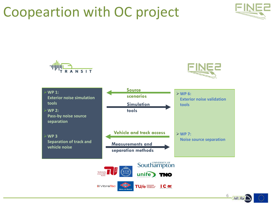#### Coopeartion with OC project





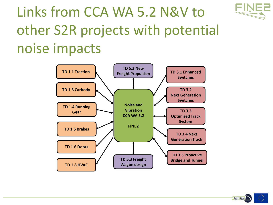

# Links from CCA WA 5.2 N&V to other S2R projects with potential noise impacts